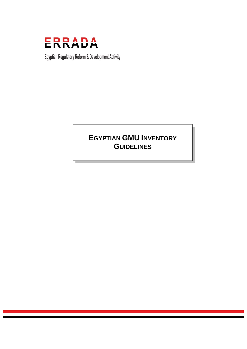

Egyptian Regulatory Reform & Development Activity

# **EGYPTIAN GMU INVENTORY GUIDELINES**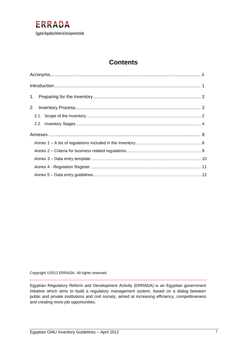

# **Contents**

Copyright ©2012 ERRADA. All rights reserved.

Egyptian Regulatory Reform and Development Activity (ERRADA) is an Egyptian government initiative which aims to build a regulatory management system, based on a dialog between public and private institutions and civil society, aimed at increasing efficiency, competitiveness and creating more job opportunities.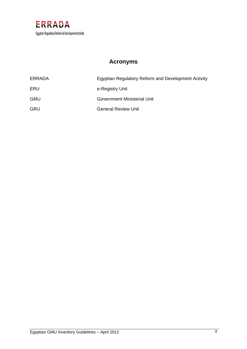

# **Acronyms**

<span id="page-2-0"></span>

| ERRADA     | Egyptian Regulatory Reform and Development Activity |
|------------|-----------------------------------------------------|
| ERU        | e-Registry Unit                                     |
| <b>GMU</b> | Government Ministerial Unit                         |
| <b>GRU</b> | <b>General Review Unit</b>                          |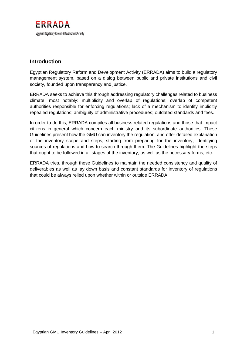

## <span id="page-3-0"></span>**Introduction**

Egyptian Regulatory Reform and Development Activity (ERRADA) aims to build a regulatory management system, based on a dialog between public and private institutions and civil society, founded upon transparency and justice.

ERRADA seeks to achieve this through addressing regulatory challenges related to business climate, most notably: multiplicity and overlap of regulations; overlap of competent authorities responsible for enforcing regulations; lack of a mechanism to identify implicitly repealed regulations; ambiguity of administrative procedures; outdated standards and fees.

In order to do this, ERRADA compiles all business related regulations and those that impact citizens in general which concern each ministry and its subordinate authorities. These Guidelines present how the GMU can inventory the regulation, and offer detailed explanation of the inventory scope and steps, starting from preparing for the inventory, identifying sources of regulations and how to search through them. The Guidelines highlight the steps that ought to be followed in all stages of the inventory, as well as the necessary forms, etc.

ERRADA tries, through these Guidelines to maintain the needed consistency and quality of deliverables as well as lay down basis and constant standards for inventory of regulations that could be always relied upon whether within or outside ERRADA.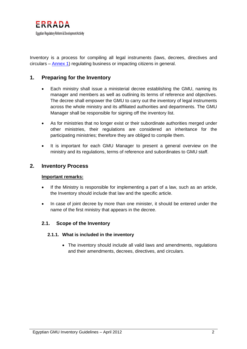

Inventory is a process for compiling all legal instruments (laws, decrees, directives and circulars – [Annex 1\)](#page-10-1) regulating business or impacting citizens in general.

## <span id="page-4-0"></span>**1. Preparing for the Inventory**

- Each ministry shall issue a ministerial decree establishing the GMU, naming its manager and members as well as outlining its terms of reference and objectives. The decree shall empower the GMU to carry out the inventory of legal instruments across the whole ministry and its affiliated authorities and departments. The GMU Manager shall be responsible for signing off the inventory list.
- As for ministries that no longer exist or their subordinate authorities merged under other ministries, their regulations are considered an inheritance for the participating ministries; therefore they are obliged to compile them.
- It is important for each GMU Manager to present a general overview on the ministry and its regulations, terms of reference and subordinates to GMU staff.

#### <span id="page-4-1"></span>**2. Inventory Process**

#### **Important remarks:**

- If the Ministry is responsible for implementing a part of a law, such as an article, the Inventory should include that law and the specific article.
- In case of joint decree by more than one minister, it should be entered under the name of the first ministry that appears in the decree.

#### <span id="page-4-2"></span>**2.1. Scope of the Inventory**

#### **2.1.1. What is included in the inventory**

• The inventory should include all valid laws and amendments, regulations and their amendments, decrees, directives, and circulars.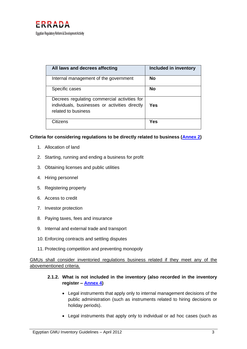

| All laws and decrees affecting                                                                                        | Included in inventory |
|-----------------------------------------------------------------------------------------------------------------------|-----------------------|
| Internal management of the government                                                                                 | <b>No</b>             |
| Specific cases                                                                                                        | <b>No</b>             |
| Decrees regulating commercial activities for<br>individuals, businesses or activities directly<br>related to business | Yes                   |
| Citizens                                                                                                              | Yes                   |

#### **Criteria for considering regulations to be directly related to business [\(Annex 2\)](#page-11-0)**

- 1. Allocation of land
- 2. Starting, running and ending a business for profit
- 3. Obtaining licenses and public utilities
- 4. Hiring personnel
- 5. Registering property
- 6. Access to credit
- 7. Investor protection
- 8. Paying taxes, fees and insurance
- 9. Internal and external trade and transport
- 10. Enforcing contracts and settling disputes
- 11. Protecting competition and preventing monopoly

GMUs shall consider inventoried regulations business related if they meet any of the abovementioned criteria.

#### **2.1.2. What is not included in the inventory (also recorded in the inventory register – [Annex 4\)](#page-13-0)**

- Legal instruments that apply only to internal management decisions of the public administration (such as instruments related to hiring decisions or holiday periods).
- Legal instruments that apply only to individual or ad hoc cases (such as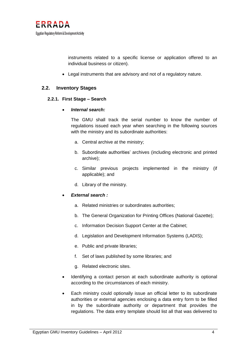instruments related to a specific license or application offered to an individual business or citizen).

• Legal instruments that are advisory and not of a regulatory nature.

### <span id="page-6-0"></span>**2.2. Inventory Stages**

#### **2.2.1. First Stage – Search**

#### • *Internal search:*

The GMU shall track the serial number to know the number of regulations issued each year when searching in the following sources with the ministry and its subordinate authorities:

- a. Central archive at the ministry;
- b. Subordinate authorities' archives (including electronic and printed archive);
- c. Similar previous projects implemented in the ministry (if applicable); and
- d. Library of the ministry.

#### • *External search :*

- a. Related ministries or subordinates authorities;
- b. The General Organization for Printing Offices (National Gazette);
- c. Information Decision Support Center at the Cabinet;
- d. Legislation and Development Information Systems (LADIS);
- e. Public and private libraries;
- f. Set of laws published by some libraries; and
- g. Related electronic sites.
- Identifying a contact person at each subordinate authority is optional according to the circumstances of each ministry.
- Each ministry could optionally issue an official letter to its subordinate authorities or external agencies enclosing a data entry form to be filled in by the subordinate authority or department that provides the regulations. The data entry template should list all that was delivered to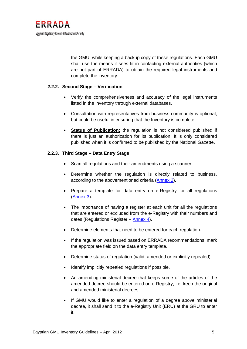the GMU, while keeping a backup copy of these regulations. Each GMU shall use the means it sees fit in contacting external authorities (which are not part of ERRADA) to obtain the required legal instruments and complete the inventory.

#### **2.2.2. Second Stage – Verification**

- Verify the comprehensiveness and accuracy of the legal instruments listed in the inventory through external databases.
- Consultation with representatives from business community is optional, but could be useful in ensuring that the Inventory is complete.
- **Status of Publication:** the regulation is not considered published if there is just an authorization for its publication. It is only considered published when it is confirmed to be published by the National Gazette.

#### **2.2.3. Third Stage – Data Entry Stage**

- Scan all regulations and their amendments using a scanner.
- Determine whether the regulation is directly related to business, according to the abovementioned criteria [\(Annex 2\)](#page-11-0).
- Prepare a template for data entry on e-Registry for all regulations [\(Annex](#page-12-0) 3).
- The importance of having a register at each unit for all the regulations that are entered or excluded from the e-Registry with their numbers and dates (Regulations Register –  $\frac{\text{Annex } 4}{\text{Annex } 4}$  $\frac{\text{Annex } 4}{\text{Annex } 4}$  $\frac{\text{Annex } 4}{\text{Annex } 4}$ ).
- Determine elements that need to be entered for each regulation.
- If the regulation was issued based on ERRADA recommendations, mark the appropriate field on the data entry template.
- Determine status of regulation (valid, amended or explicitly repealed).
- Identify implicitly repealed regulations if possible.
- An amending ministerial decree that keeps some of the articles of the amended decree should be entered on e-Registry, i.e. keep the original and amended ministerial decrees.
- If GMU would like to enter a regulation of a degree above ministerial decree, it shall send it to the e-Registry Unit (ERU) at the GRU to enter it.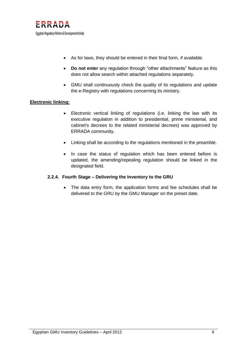

- As for laws, they should be entered in their final form, if available.
- **Do not enter** any regulation through "other attachments" feature as this does not allow search within attached regulations separately.
- GMU shall continuously check the quality of its regulations and update the e-Registry with regulations concerning its ministry.

#### **Electronic linking:**

- Electronic vertical linking of regulations (i.e. linking the law with its executive regulation in addition to presidential, prime ministerial, and cabinet's decrees to the related ministerial decrees) was approved by ERRADA community.
- Linking shall be according to the regulations mentioned in the preamble.
- In case the status of regulation which has been entered before is updated, the amending/repealing regulation should be linked in the designated field.

#### **2.2.4. Fourth Stage – Delivering the Inventory to the GRU**

• The data entry form, the application forms and fee schedules shall be delivered to the GRU by the GMU Manager on the preset date.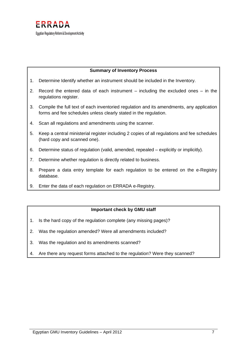

#### **Summary of Inventory Process**

- 1. Determine Identify whether an instrument should be included in the Inventory.
- 2. Record the entered data of each instrument including the excluded ones in the regulations register.
- 3. Compile the full text of each inventoried regulation and its amendments, any application forms and fee schedules unless clearly stated in the regulation.
- 4. Scan all regulations and amendments using the scanner.
- 5. Keep a central ministerial register including 2 copies of all regulations and fee schedules (hard copy and scanned one).
- 6. Determine status of regulation (valid, amended, repealed explicitly or implicitly).
- 7. Determine whether regulation is directly related to business.
- 8. Prepare a data entry template for each regulation to be entered on the e-Registry database.
- 9. Enter the data of each regulation on ERRADA e-Registry.

#### **Important check by GMU staff**

- 1. Is the hard copy of the regulation complete (any missing pages)?
- 2. Was the regulation amended? Were all amendments included?
- 3. Was the regulation and its amendments scanned?
- 4. Are there any request forms attached to the regulation? Were they scanned?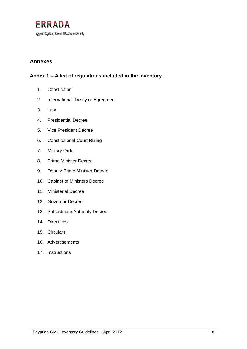

## <span id="page-10-0"></span>**Annexes**

# <span id="page-10-1"></span>**Annex 1 – A list of regulations included in the Inventory**

- 1. Constitution
- 2. International Treaty or Agreement
- 3. Law
- 4. Presidential Decree
- 5. Vice President Decree
- 6. Constitutional Court Ruling
- 7. Military Order
- 8. Prime Minister Decree
- 9. Deputy Prime Minister Decree
- 10. Cabinet of Ministers Decree
- 11. Ministerial Decree
- 12. Governor Decree
- 13. Subordinate Authority Decree
- 14. Directives
- 15. Circulars
- 16. Advertisements
- 17. Instructions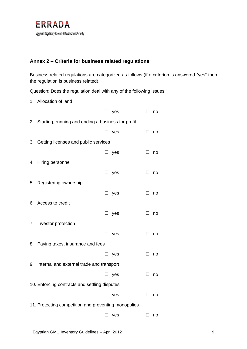

## <span id="page-11-0"></span>**Annex 2 – Criteria for business related regulations**

Business related regulations are categorized as follows (if a criterion is answered "yes" then the regulation is business related).

Question: Does the regulation deal with any of the following issues:

1. Allocation of land

|                                                      |                                                    |        | $\square$ yes | □      | no |
|------------------------------------------------------|----------------------------------------------------|--------|---------------|--------|----|
| 2.                                                   | Starting, running and ending a business for profit |        |               |        |    |
|                                                      |                                                    | ப      | yes           | □      | no |
| 3.                                                   | Getting licenses and public services               |        |               |        |    |
|                                                      |                                                    |        | $\square$ yes | $\Box$ | no |
| 4.                                                   | Hiring personnel                                   |        |               |        |    |
|                                                      |                                                    | $\Box$ | yes           | □      | no |
| 5.                                                   | Registering ownership                              |        |               |        |    |
|                                                      |                                                    | □      | yes           | □      | no |
| 6.                                                   | Access to credit                                   |        |               |        |    |
|                                                      |                                                    | $\Box$ | yes           | □      | no |
| 7.                                                   | Investor protection                                |        |               |        |    |
|                                                      |                                                    |        | $\square$ yes | □      | no |
| 8.                                                   | Paying taxes, insurance and fees                   |        |               |        |    |
|                                                      |                                                    | ப      | yes           | ப      | no |
| 9.                                                   | Internal and external trade and transport          |        |               |        |    |
|                                                      |                                                    | $\Box$ | yes           | $\Box$ | no |
| 10. Enforcing contracts and settling disputes        |                                                    |        |               |        |    |
|                                                      |                                                    | $\Box$ | yes           | □      | no |
| 11. Protecting competition and preventing monopolies |                                                    |        |               |        |    |
|                                                      |                                                    | $\Box$ | yes           | ப      | no |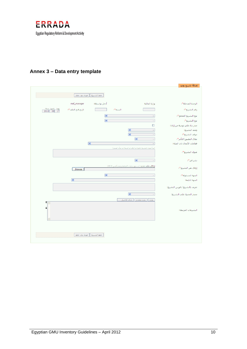

# <span id="page-12-0"></span>**Annex 3 – Data entry template**

|                                          |                   |              |              |                                                             | إضافة تشريع جديد               |
|------------------------------------------|-------------------|--------------|--------------|-------------------------------------------------------------|--------------------------------|
|                                          | أأعودة دون حفظ    | حفظ التشريع  |              |                                                             |                                |
|                                          | mof_manager       | أدخل بواسطة: |              | وزارة المالية                                               | الوحدة المدخلة*:               |
| يوم: شهر: سنة:<br> 17  08   2010<br>2010 | تاريخ فتح الملف*: |              | السنة*:      |                                                             | رقم التشريع*:                  |
|                                          |                   | $\checkmark$ |              | ÷,                                                          | نوع التشريع المجمع*:           |
|                                          |                   | $\checkmark$ |              | $\Box$                                                      | نوع التشريع*:                  |
|                                          |                   |              |              | $\Box$                                                      | صدر بناء على توصية من إرادة:   |
|                                          |                   |              | $\checkmark$ | ÷,                                                          | وصف التشريع:                   |
|                                          |                   |              | $\checkmark$ | ÷,                                                          | موقف التشريع*:                 |
|                                          |                   |              |              | $\checkmark$<br>$\omega$                                    | نطاق التطبيق/التأثير*:         |
|                                          |                   | $\checkmark$ |              | $\overline{\phantom{a}}$                                    | قطاعات الأعمال ذات الصلة:      |
|                                          |                   |              |              | (يبدأ عنوان التشريع بالنوع ثم الرقم ثم السنة ثم شأن الصدور) | عنوان التشريع*:                |
|                                          |                   |              |              | $\checkmark$<br>$\overline{\phantom{a}}$                    | نشر في*:                       |
|                                          | .Browse           |              |              | إرفاق ملف جديد (مسموح بملفات pdf فقط وحجم أقصى MB 20)       | إرفاق نص التشريع*:             |
|                                          |                   | $\checkmark$ |              |                                                             | الجهة المسئولة*:               |
|                                          | $\checkmark$      |              |              |                                                             | الجهة التابعة:                 |
|                                          |                   |              |              |                                                             | تعريف بالتشريع / فهرس التشريع: |
|                                          |                   |              | $\checkmark$ | $\bar{a}$                                                   | مصدر الحصول على التشريع:       |
| Ħ<br>$\mathcal{A}_1$                     |                   |              |              | بحث    بحث متقدم    حذف الاختيار                            |                                |
| ā                                        |                   |              |              |                                                             | التشريعات المرتبطة:            |
|                                          | عودة دون حفظ      | حفظ التشريع  |              |                                                             |                                |
|                                          |                   |              |              |                                                             |                                |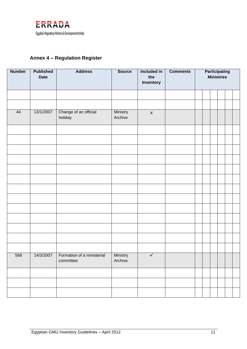

# <span id="page-13-0"></span>**Annex 4 – Regulation Register**

| <b>Number</b> | <b>Published</b><br><b>Date</b> | <b>Address</b>                                      | <b>Source</b>       | Included in<br>the<br>Inventory | <b>Comments</b> | <b>Participating</b><br><b>Ministries</b> |  |  |  |  |
|---------------|---------------------------------|-----------------------------------------------------|---------------------|---------------------------------|-----------------|-------------------------------------------|--|--|--|--|
|               |                                 |                                                     |                     |                                 |                 |                                           |  |  |  |  |
|               |                                 |                                                     |                     |                                 |                 |                                           |  |  |  |  |
| 44            | 13/1/2007                       | Change of an official<br>holiday                    | Ministry<br>Archive | $\boldsymbol{\mathsf{X}}$       |                 |                                           |  |  |  |  |
|               |                                 |                                                     |                     |                                 |                 |                                           |  |  |  |  |
|               |                                 |                                                     |                     |                                 |                 |                                           |  |  |  |  |
|               |                                 |                                                     |                     |                                 |                 |                                           |  |  |  |  |
|               |                                 |                                                     |                     |                                 |                 |                                           |  |  |  |  |
|               |                                 |                                                     |                     |                                 |                 |                                           |  |  |  |  |
|               |                                 |                                                     |                     |                                 |                 |                                           |  |  |  |  |
|               |                                 |                                                     |                     |                                 |                 |                                           |  |  |  |  |
|               |                                 |                                                     |                     |                                 |                 |                                           |  |  |  |  |
|               |                                 |                                                     |                     |                                 |                 |                                           |  |  |  |  |
|               |                                 |                                                     |                     |                                 |                 |                                           |  |  |  |  |
|               |                                 |                                                     |                     |                                 |                 |                                           |  |  |  |  |
|               |                                 |                                                     |                     |                                 |                 |                                           |  |  |  |  |
|               |                                 |                                                     |                     |                                 |                 |                                           |  |  |  |  |
| 568           |                                 | 14/3/2007   Formation of a ministerial<br>committee | Ministry<br>Archive | $\sqrt{2}$                      |                 |                                           |  |  |  |  |
|               |                                 |                                                     |                     |                                 |                 |                                           |  |  |  |  |
|               |                                 |                                                     |                     |                                 |                 |                                           |  |  |  |  |
|               |                                 |                                                     |                     |                                 |                 |                                           |  |  |  |  |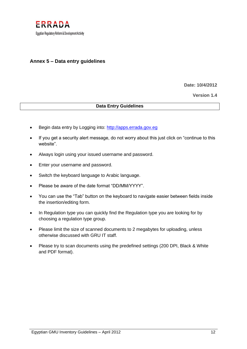

### <span id="page-14-0"></span>**Annex 5 – Data entry guidelines**

**Date: 10/4/2012**

**Version 1.4**

#### **Data Entry Guidelines**

- Begin data entry by Logging into: [http://apps.errada.gov.eg](http://apps.errada.gov.eg/)
- If you get a security alert message, do not worry about this just click on "continue to this website".
- Always login using your issued username and password.
- Enter your username and password.
- Switch the keyboard language to Arabic language.
- Please be aware of the date format "DD/MM/YYYY".
- You can use the "Tab" button on the keyboard to navigate easier between fields inside the insertion/editing form.
- In Regulation type you can quickly find the Regulation type you are looking for by choosing a regulation type group.
- Please limit the size of scanned documents to 2 megabytes for uploading, unless otherwise discussed with GRU IT staff.
- Please try to scan documents using the predefined settings (200 DPI, Black & White and PDF format).